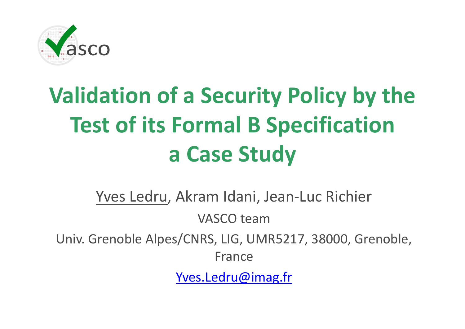

# **Validation of <sup>a</sup> Security Policy by the Test of its Formal B Specification a Case Study**

Yves Ledru, Akram Idani, Jean‐Luc Richier VASCO teamUniv. Grenoble Alpes/CNRS, LIG, UMR5217, 38000, Grenoble, France

Yves.Ledru@imag.fr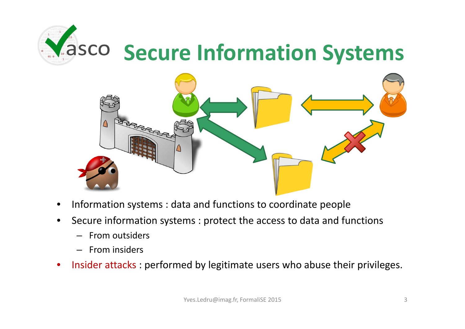



- •• Information systems : data and functions to coordinate people
- • Secure information systems : protect the access to data and functions
	- From outsiders
	- From insiders
- •• Insider attacks : performed by legitimate users who abuse their privileges.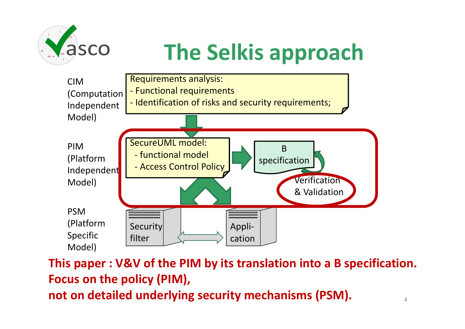

# **The Selkis approach**



4**This paper : V&V of the PIM by its translation into <sup>a</sup> B specification. Focus on the policy (PIM), not on detailed underlying security mechanisms (PSM).**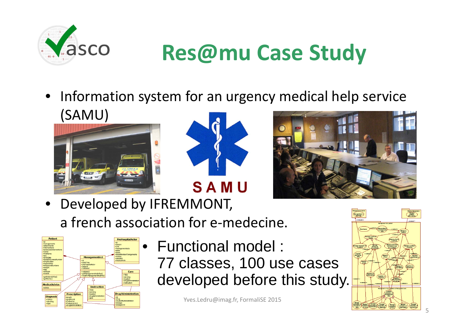

### **Res@mu Case Study**

• Information system for an urgency medical help service (SAMU)







• Developed by IFREMMONT, a french association for <sup>e</sup>‐medecine.



• Functional model : 77 classes, 100 use cases developed before this study.

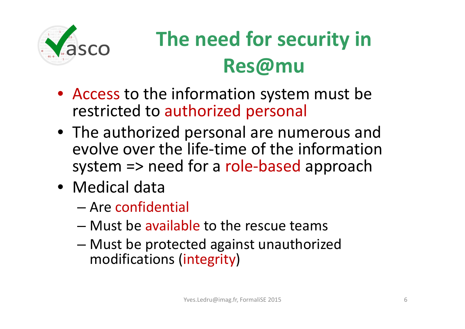

#### **The need for security in Res@mu**

- Access to the information system must be restricted to authorized personal
- The authorized personal are numerous and evolve over the life‐time of the informationsystem => need for <sup>a</sup> role‐based approach
- Medical data
	- Are confidential
	- Must be available to the rescue teams
	- – Must be protected against unauthorized modifications (integrity)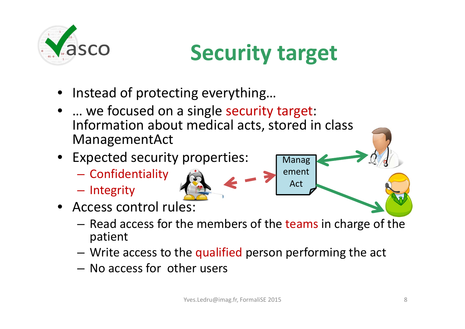

### **Security target**

Manag

ement

Act

- Instead of protecting everything…
- •… we focused on <sup>a</sup> single security target: Information about medical acts, stored in class ManagementAct
- Expected security properties:
	- Confidentiality
	- –- Integrity
- Access control rules:
	- Read access for the members of the teams in charge of the patient
	- $-$  Write access to the qualified person performing the act
	- No access for other users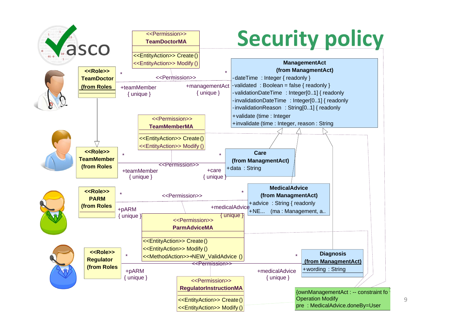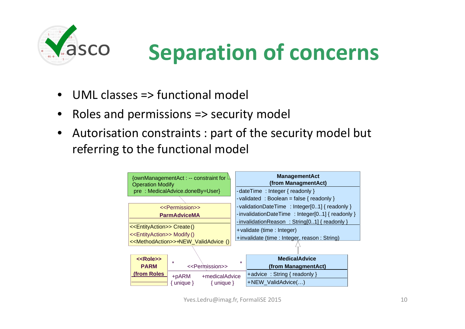

### **Separation of concerns**

- •UML classes => functional model
- •• Roles and permissions => security model
- $\bullet$  Autorisation constraints : part of the security model but referring to the functional model

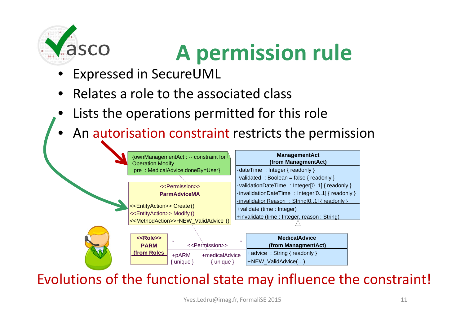

# **A permission rule**

- •Expressed in SecureUML
- •• Relates a role to the associated class
- •Lists the operations permitted for this role
- •An autorisation constraint restricts the permission



#### Evolutions of the functional state may influence the constraint!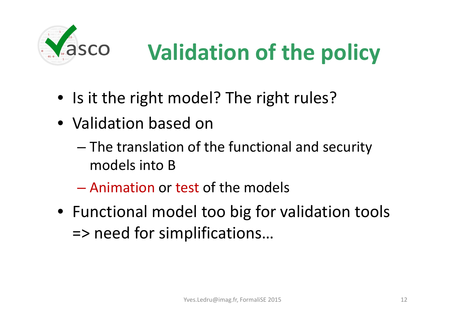

# **Validation of the policy**

- Is it the right model? The right rules?
- Validation based on
	- – The translation of the functional and security models into B
	- Animation or test of the models
- Functional model too big for validation tools => need for simplifications…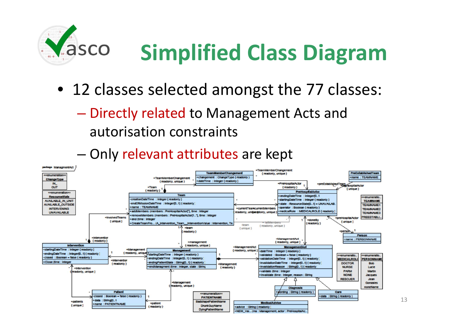

# **Simplified Class Diagram**

- 12 classes selected amongst the 77 classes:
	- – Directly related to Management Acts and autorisation constraints



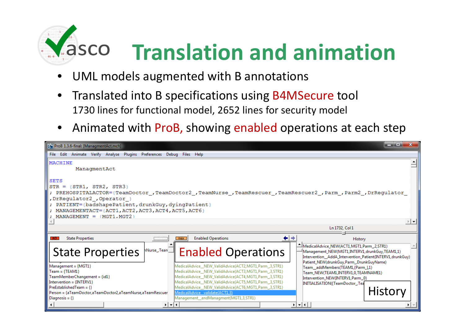

- •UML models augmented with B annotations
- $\bullet$ **•** Translated into B specifications using B4MSecure tool 1730 lines for functional model, 2652 lines for security model
- •• Animated with ProB, showing enabled operations at each step

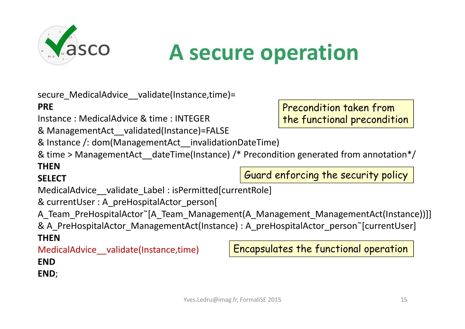

#### **A secure operation**

secure MedicalAdvice validate(Instance,time)=

#### **PRE**

Instance : MedicalAdvice & time : INTEGER

& ManagementAct\_\_validated(Instance)=FALSE

& Instance /: dom(ManagementAct\_\_invalidationDateTime)

& time <sup>&</sup>gt; ManagementAct\_\_dateTime(Instance) /\* Precondition generated from annotation\*/

#### **THEN**

#### **SELECT**

MedicalAdvice validate Label : isPermitted[currentRole]

& currentUser : A\_preHospitalActor\_person[

A Team PreHospitalActor~[A Team Management(A Management ManagementAct(Instance))]]

& A\_PreHospitalActor\_ManagementAct(Instance) : A\_preHospitalActor\_person~[currentUser] **THEN**

MedicalAdvice\_\_validate(Instance,time)

Encapsulates the functional operation

Guard enforcing the security policy

**END**

**END**;

Precondition taken from the functional precondition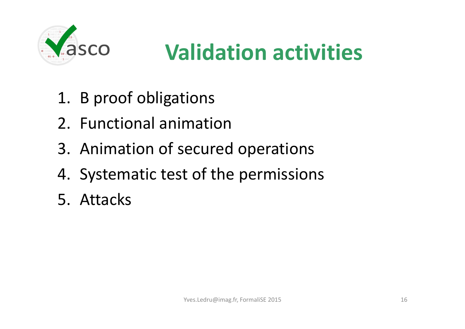

### **Validation activities**

- 1. B proof obligations
- 2. Functional animation
- 3. Animation of secured operations
- 4. Systematic test of the permissions
- 5. Attacks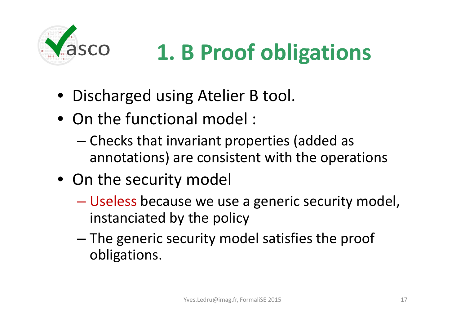

# **1. B Proof obligations**

- Discharged using Atelier B tool.
- On the functional model :
	- – Checks that invariant properties (added as annotations) are consistent with the operations
- On the security model
	- – Useless because we use <sup>a</sup> generic security model, instanciated by the policy
	- The generic security model satisfies the proof obligations.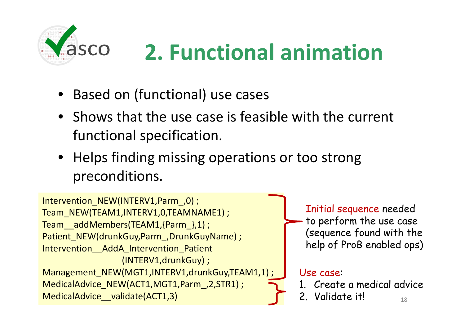

## **2. Functional animation**

- Based on (functional) use cases
- Shows that the use case is feasible with the current functional specification.
- Helps finding missing operations or too strong preconditions.

```
\sqrt{2}. Validate it!
Intervention_NEW(INTERV1,Parm ,0) ;
Team_NEW(TEAM1,INTERV1,0,TEAMNAME1) ;
Team__addMembers(TEAM1,{Parm_},1) ;
Patient_NEW(drunkGuy,Parm_,DrunkGuyName) ;
Intervention AddA Intervention Patient
                (INTERV1,drunkGuy) ;
Management_NEW(MGT1,INTERV1,drunkGuy,TEAM1,1) ;
MedicalAdvice_NEW(ACT1,MGT1,Parm_,2,STR1) ;
MedicalAdvice validate(ACT1,3)
                                                     Initial sequence needed
                                                      to perform the use case
                                                      (sequence found with the
                                                     help of ProB enabled ops)
                                                    Use case:
                                                    1. Create a medical advice
```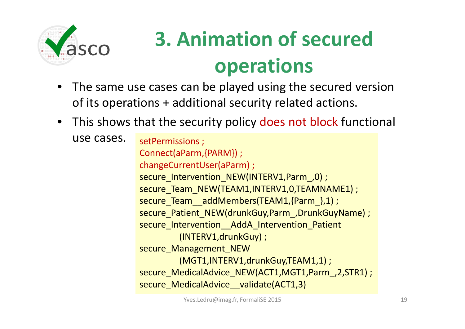

### **3. Animation of secured operations**

- • The same use cases can be played using the secured version of its operations <sup>+</sup> additional security related actions.
- This shows that the security policy does not block functional

```
use cases.
              setPermissions ;
              Connect(aParm,{PARM}) ;
              changeCurrentUser(aParm) ;
              secure Intervention NEW(INTERV1,Parm, 0);
              secure_Team_NEW(TEAM1,INTERV1,0,TEAMNAME1) ;
              secure_Team__addMembers(TEAM1,{Parm_},1) ;
              secure_Patient_NEW(drunkGuy,Parm_,DrunkGuyName) ;
              secure_Intervention__AddA_Intervention_Patient
                      (INTERV1,drunkGuy) ;
              secure Management_NEW
                      (MGT1,INTERV1,drunkGuy,TEAM1,1) ;
              secure MedicalAdvice NEW(ACT1,MGT1,Parm, 2,STR1) ;
              secure_MedicalAdvice__validate(ACT1,3)
```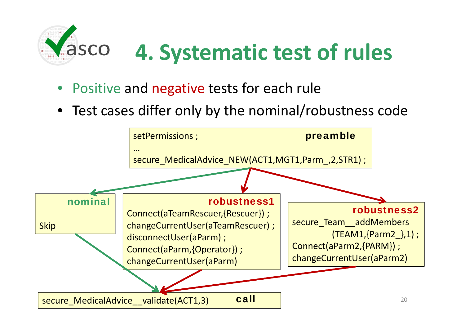

- Positive and negative tests for each rule
- Test cases differ only by the nominal/robustness code

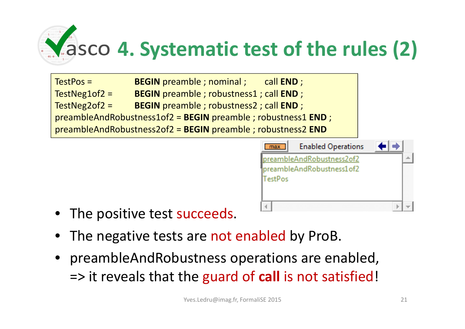

TestPos <sup>=</sup> **BEGIN** preamble ; nominal ; call **END** ; TestNeg1of2 <sup>=</sup> **BEGIN** preamble ; robustness1 ; call **END** ; TestNeg2of2 <sup>=</sup> **BEGIN** preamble ; robustness2 ; call **END** ; preambleAndRobustness1of2 <sup>=</sup> **BEGIN** preamble ; robustness1 **END** ; preambleAndRobustness2of2 <sup>=</sup> **BEGIN** preamble ; robustness2 **END**



- The positive test succeeds.
- •• The negative tests are not enabled by ProB.
- preambleAndRobustness operations are enabled, => it reveals that the guard of **call** is not satisfied!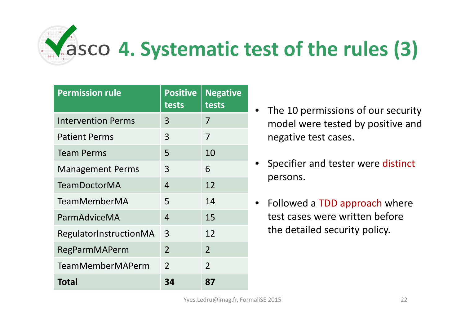

| <b>Permission rule</b>    | <b>Positive</b><br>tests | <b>Negative</b><br>tests |
|---------------------------|--------------------------|--------------------------|
| <b>Intervention Perms</b> | 3                        | 7                        |
| <b>Patient Perms</b>      | 3                        | 7                        |
| <b>Team Perms</b>         | 5                        | 10                       |
| <b>Management Perms</b>   | 3                        | 6                        |
| <b>TeamDoctorMA</b>       | 4                        | 12                       |
| TeamMemberMA              | 5                        | 14                       |
| ParmAdviceMA              | $\overline{4}$           | 15                       |
| RegulatorInstructionMA    | 3                        | 12                       |
| RegParmMAPerm             | $\overline{2}$           | 2                        |
| <b>TeamMemberMAPerm</b>   | $\overline{2}$           | $\overline{2}$           |
| <b>Total</b>              | 34                       | 87                       |

- The 10 permissions of our security model were tested by positive and negative test cases.
- Specifier and tester were distinct persons.
- Followed a TDD approach where test cases were written beforethe detailed security policy.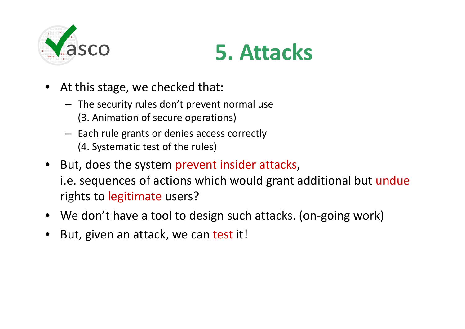



- At this stage, we checked that:
	- The security rules don't prevent normal use (3. Animation of secure operations)
	- Each rule grants or denies access correctly (4. Systematic test of the rules)
- But, does the system prevent insider attacks, i.e. sequences of actions which would grant additional but undue rights to legitimate users?
- We don't have <sup>a</sup> tool to design such attacks. (on‐going work)
- •But, given an attack, we can test it!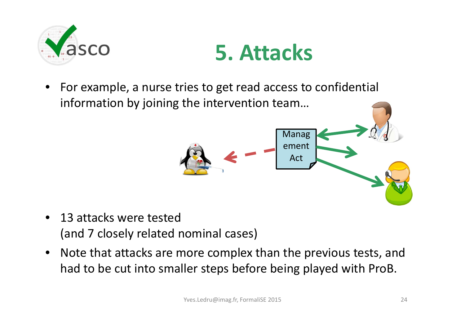



 $\bullet$  For example, <sup>a</sup> nurse tries to get read access to confidential information by joining the intervention team…



- 13 attacks were tested (and 7 closely related nominal cases)
- Note that attacks are more complex than the previous tests, and had to be cut into smaller steps before being played with ProB.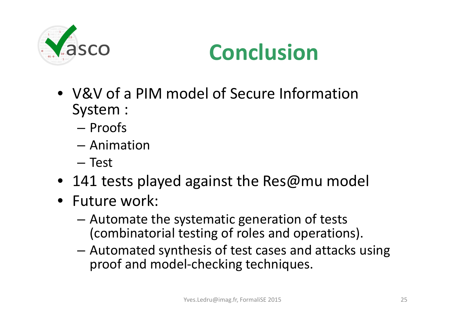

#### **Conclusion**

- V&V of <sup>a</sup> PIM model of Secure Information System :
	- Proofs
	- Animation
	- Test
- 141 tests played against the Res@mu model
- Future work:
	- – Automate the systematic generation of tests (combinatorial testing of roles and operations).
	- Automated synthesis of test cases and attacks using proof and model‐checking techniques.